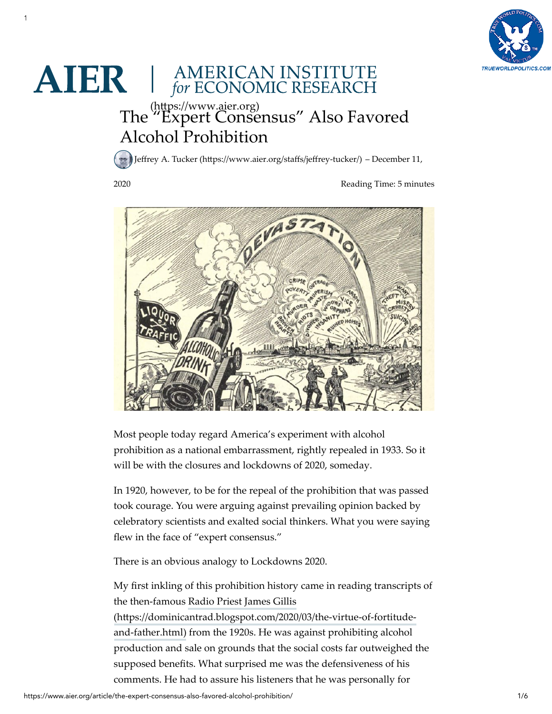

## **AIER** | AMERICAN INSTITUTE

 $1$ 

## [The "Expert Consensus" Also Favo](https://www.aier.org/)red Alcohol Prohibition (https://www.aier.org)

Jeffrey A. Tucker (https://www.aier.org/staffs/jeffrey-tucker/) – December 11,

2020

Reading Time: 5 minutes



Most people today regard America's experiment with alcohol prohibition as a national embarrassment, rightly repealed in 1933. So it will be with the closures and lockdowns of 2020, someday.

In 1920, however, to be for the repeal of the prohibition that was passed took courage. You were arguing against prevailing opinion backed by celebratory scientists and exalted social thinkers. What you were saying flew in the face of "expert consensus."

There is an obvious analogy to Lockdowns 2020.

My first inkling of this prohibition history came in reading transcripts of the then-famous Radio Priest James Gillis (https://dominicantrad.blogspot.com/2020/03/the-virtue-of-fortitudeand-father.html) from the 1920s. He was against prohibiting alcohol production and sale on grounds that the social costs far outweighed the supposed benefits. What surprised me was the defensiveness of his comments. He had to assure his listeners that he was personally for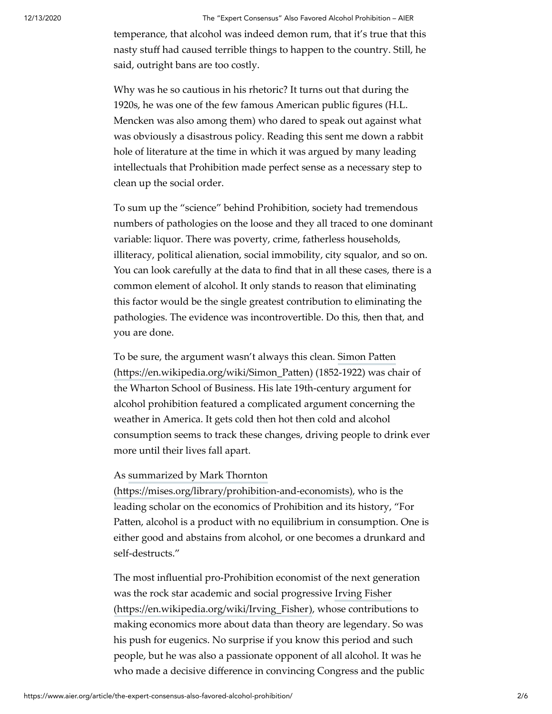temperance, that alcohol was indeed demon rum, that it's true that this nasty stuff had caused terrible things to happen to the country. Still, he said, outright bans are too costly.

Why was he so cautious in his rhetoric? It turns out that during the 1920s, he was one of the few famous American public figures (H.L. Mencken was also among them) who dared to speak out against what was obviously a disastrous policy. Reading this sent me down a rabbit hole of literature at the time in which it was argued by many leading intellectuals that Prohibition made perfect sense as a necessary step to clean up the social order.

To sum up the "science" behind Prohibition, society had tremendous numbers of pathologies on the loose and they all traced to one dominant variable: liquor. There was poverty, crime, fatherless households, illiteracy, political alienation, social immobility, city squalor, and so on. You can look carefully at the data to find that in all these cases, there is a common element of alcohol. It only stands to reason that eliminating this factor would be the single greatest contribution to eliminating the pathologies. The evidence was incontrovertible. Do this, then that, and you are done.

To be sure, the argument wasn't always this clean. Simon Patten (https://en.wikipedia.org/wiki/Simon\_Patten) (1852-1922) was chair of the Wharton School of Business. His late 19th-century argument for alcohol prohibition featured a complicated argument concerning the weather in America. It gets cold then hot then cold and alcohol consumption seems to track these changes, driving people to drink ever more until their lives fall apart.

## As summarized by Mark Thornton

 $(htips://mises.org/library/prohibition-and-economics), who is the$ leading scholar on the economics of Prohibition and its history, "For Patten, alcohol is a product with no equilibrium in consumption. One is either good and abstains from alcohol, or one becomes a drunkard and self-destructs."

The most influential pro-Prohibition economist of the next generation [was the rock star academic and social progressive Irving Fisher](https://en.wikipedia.org/wiki/Irving_Fisher) (https://en.wikipedia.org/wiki/Irving\_Fisher), whose contributions to making economics more about data than theory are legendary. So was his push for eugenics. No surprise if you know this period and such people, but he was also a passionate opponent of all alcohol. It was he who made a decisive difference in convincing Congress and the public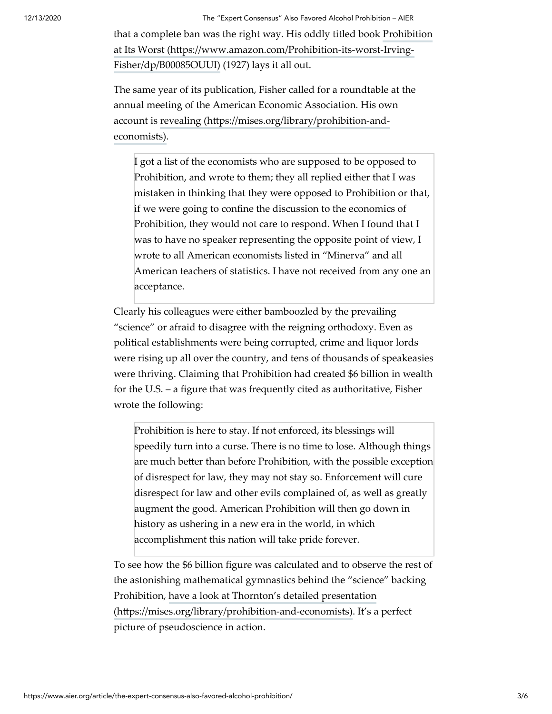12/13/2020 The "Expert Consensus" Also Favored Alcohol Prohibition – AIER

[that a complete ban was the right way. His oddly titled book Prohibition](https://www.amazon.com/Prohibition-its-worst-Irving-Fisher/dp/B00085OUUI) at Its Worst (https://www.amazon.com/Prohibition-its-worst-Irving-Fisher/dp/B00085OUUI) (1927) lays it all out.

The same year of its publication, Fisher called for a roundtable at the annual meeting of the American Economic Association. His own account is revealing (https://mises.org/library/prohibition-andeconomists).

I got a list of the economists who are supposed to be opposed to Prohibition, and wrote to them; they all replied either that I was mistaken in thinking that they were opposed to Prohibition or that, if we were going to confine the discussion to the economics of Prohibition, they would not care to respond. When I found that I was to have no speaker representing the opposite point of view, I wrote to all American economists listed in "Minerva" and all American teachers of statistics. I have not received from any one an acceptance.

Clearly his colleagues were either bamboozled by the prevailing "science" or afraid to disagree with the reigning orthodoxy. Even as political establishments were being corrupted, crime and liquor lords were rising up all over the country, and tens of thousands of speakeasies were thriving. Claiming that Prohibition had created \$6 billion in wealth for the U.S. – a figure that was frequently cited as authoritative, Fisher wrote the following:

Prohibition is here to stay. If not enforced, its blessings will speedily turn into a curse. There is no time to lose. Although things are much better than before Prohibition, with the possible exception of disrespect for law, they may not stay so. Enforcement will cure disrespect for law and other evils complained of, as well as greatly augment the good. American Prohibition will then go down in history as ushering in a new era in the world, in which accomplishment this nation will take pride forever.

To see how the \$6 billion figure was calculated and to observe the rest of the astonishing mathematical gymnastics behind the "science" backing [Prohibition, have a look at Thornton's detailed presentation](https://mises.org/library/prohibition-and-economists)  $(\text{https://miss.org/library/prohibition-and-economics). It's a perfect})$ picture of pseudoscience in action.